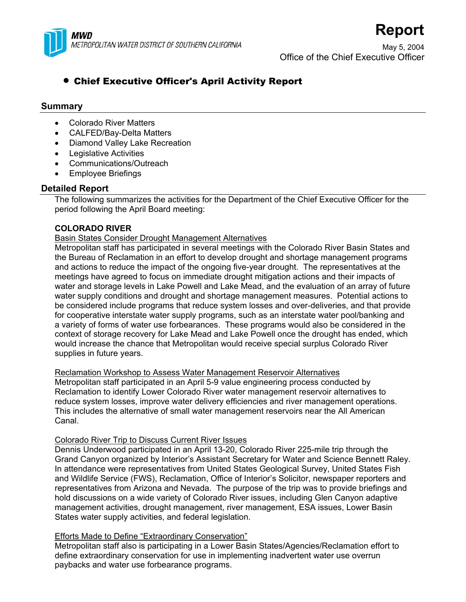

May 5, 2004 Office of the Chief Executive Officer

**Report**

# • Chief Executive Officer's April Activity Report

# **Summary**

- Colorado River Matters
- CALFED/Bay-Delta Matters
- Diamond Valley Lake Recreation
- Legislative Activities
- Communications/Outreach
- Employee Briefings

# **Detailed Report**

The following summarizes the activities for the Department of the Chief Executive Officer for the period following the April Board meeting:

# **COLORADO RIVER**

# Basin States Consider Drought Management Alternatives

Metropolitan staff has participated in several meetings with the Colorado River Basin States and the Bureau of Reclamation in an effort to develop drought and shortage management programs and actions to reduce the impact of the ongoing five-year drought. The representatives at the meetings have agreed to focus on immediate drought mitigation actions and their impacts of water and storage levels in Lake Powell and Lake Mead, and the evaluation of an array of future water supply conditions and drought and shortage management measures. Potential actions to be considered include programs that reduce system losses and over-deliveries, and that provide for cooperative interstate water supply programs, such as an interstate water pool/banking and a variety of forms of water use forbearances. These programs would also be considered in the context of storage recovery for Lake Mead and Lake Powell once the drought has ended, which would increase the chance that Metropolitan would receive special surplus Colorado River supplies in future years.

# Reclamation Workshop to Assess Water Management Reservoir Alternatives

Metropolitan staff participated in an April 5-9 value engineering process conducted by Reclamation to identify Lower Colorado River water management reservoir alternatives to reduce system losses, improve water delivery efficiencies and river management operations. This includes the alternative of small water management reservoirs near the All American Canal.

#### Colorado River Trip to Discuss Current River Issues

Dennis Underwood participated in an April 13-20, Colorado River 225-mile trip through the Grand Canyon organized by Interior's Assistant Secretary for Water and Science Bennett Raley. In attendance were representatives from United States Geological Survey, United States Fish and Wildlife Service (FWS), Reclamation, Office of Interior's Solicitor, newspaper reporters and representatives from Arizona and Nevada. The purpose of the trip was to provide briefings and hold discussions on a wide variety of Colorado River issues, including Glen Canyon adaptive management activities, drought management, river management, ESA issues, Lower Basin States water supply activities, and federal legislation.

# Efforts Made to Define "Extraordinary Conservation"

Metropolitan staff also is participating in a Lower Basin States/Agencies/Reclamation effort to define extraordinary conservation for use in implementing inadvertent water use overrun paybacks and water use forbearance programs.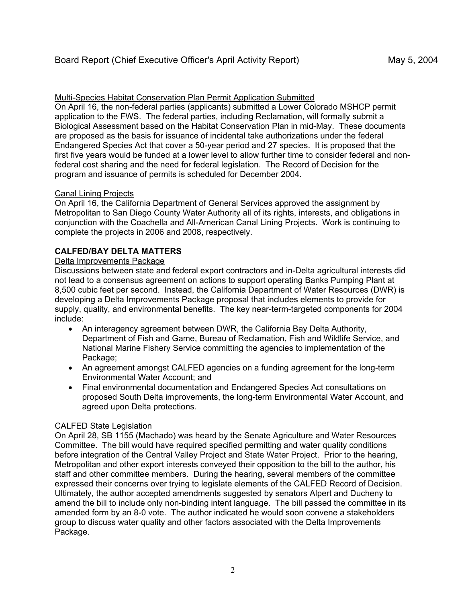# Multi-Species Habitat Conservation Plan Permit Application Submitted

On April 16, the non-federal parties (applicants) submitted a Lower Colorado MSHCP permit application to the FWS. The federal parties, including Reclamation, will formally submit a Biological Assessment based on the Habitat Conservation Plan in mid-May. These documents are proposed as the basis for issuance of incidental take authorizations under the federal Endangered Species Act that cover a 50-year period and 27 species. It is proposed that the first five years would be funded at a lower level to allow further time to consider federal and nonfederal cost sharing and the need for federal legislation. The Record of Decision for the program and issuance of permits is scheduled for December 2004.

# Canal Lining Projects

On April 16, the California Department of General Services approved the assignment by Metropolitan to San Diego County Water Authority all of its rights, interests, and obligations in conjunction with the Coachella and All-American Canal Lining Projects. Work is continuing to complete the projects in 2006 and 2008, respectively.

# **CALFED/BAY DELTA MATTERS**

#### Delta Improvements Package

Discussions between state and federal export contractors and in-Delta agricultural interests did not lead to a consensus agreement on actions to support operating Banks Pumping Plant at 8,500 cubic feet per second. Instead, the California Department of Water Resources (DWR) is developing a Delta Improvements Package proposal that includes elements to provide for supply, quality, and environmental benefits. The key near-term-targeted components for 2004 include:

- An interagency agreement between DWR, the California Bay Delta Authority, Department of Fish and Game, Bureau of Reclamation, Fish and Wildlife Service, and National Marine Fishery Service committing the agencies to implementation of the Package;
- An agreement amongst CALFED agencies on a funding agreement for the long-term Environmental Water Account; and
- Final environmental documentation and Endangered Species Act consultations on proposed South Delta improvements, the long-term Environmental Water Account, and agreed upon Delta protections.

# CALFED State Legislation

On April 28, SB 1155 (Machado) was heard by the Senate Agriculture and Water Resources Committee. The bill would have required specified permitting and water quality conditions before integration of the Central Valley Project and State Water Project. Prior to the hearing, Metropolitan and other export interests conveyed their opposition to the bill to the author, his staff and other committee members. During the hearing, several members of the committee expressed their concerns over trying to legislate elements of the CALFED Record of Decision. Ultimately, the author accepted amendments suggested by senators Alpert and Ducheny to amend the bill to include only non-binding intent language. The bill passed the committee in its amended form by an 8-0 vote. The author indicated he would soon convene a stakeholders group to discuss water quality and other factors associated with the Delta Improvements Package.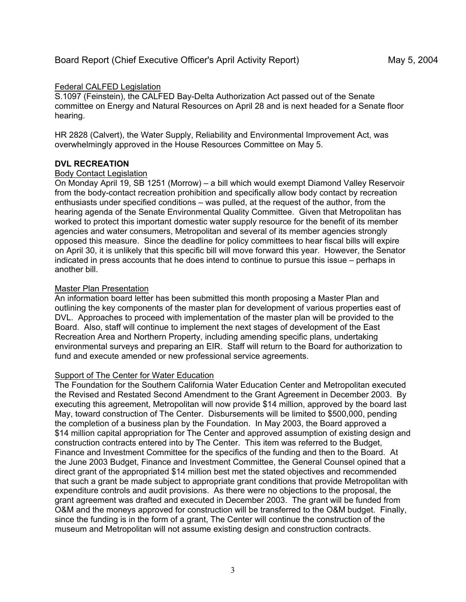#### Federal CALFED Legislation

S.1097 (Feinstein), the CALFED Bay-Delta Authorization Act passed out of the Senate committee on Energy and Natural Resources on April 28 and is next headed for a Senate floor hearing.

HR 2828 (Calvert), the Water Supply, Reliability and Environmental Improvement Act, was overwhelmingly approved in the House Resources Committee on May 5.

#### **DVL RECREATION**

#### Body Contact Legislation

On Monday April 19, SB 1251 (Morrow) – a bill which would exempt Diamond Valley Reservoir from the body-contact recreation prohibition and specifically allow body contact by recreation enthusiasts under specified conditions – was pulled, at the request of the author, from the hearing agenda of the Senate Environmental Quality Committee. Given that Metropolitan has worked to protect this important domestic water supply resource for the benefit of its member agencies and water consumers, Metropolitan and several of its member agencies strongly opposed this measure. Since the deadline for policy committees to hear fiscal bills will expire on April 30, it is unlikely that this specific bill will move forward this year. However, the Senator indicated in press accounts that he does intend to continue to pursue this issue – perhaps in another bill.

#### Master Plan Presentation

An information board letter has been submitted this month proposing a Master Plan and outlining the key components of the master plan for development of various properties east of DVL. Approaches to proceed with implementation of the master plan will be provided to the Board. Also, staff will continue to implement the next stages of development of the East Recreation Area and Northern Property, including amending specific plans, undertaking environmental surveys and preparing an EIR. Staff will return to the Board for authorization to fund and execute amended or new professional service agreements.

#### **Support of The Center for Water Education**

The Foundation for the Southern California Water Education Center and Metropolitan executed the Revised and Restated Second Amendment to the Grant Agreement in December 2003. By executing this agreement, Metropolitan will now provide \$14 million, approved by the board last May, toward construction of The Center. Disbursements will be limited to \$500,000, pending the completion of a business plan by the Foundation. In May 2003, the Board approved a \$14 million capital appropriation for The Center and approved assumption of existing design and construction contracts entered into by The Center. This item was referred to the Budget, Finance and Investment Committee for the specifics of the funding and then to the Board. At the June 2003 Budget, Finance and Investment Committee, the General Counsel opined that a direct grant of the appropriated \$14 million best met the stated objectives and recommended that such a grant be made subject to appropriate grant conditions that provide Metropolitan with expenditure controls and audit provisions. As there were no objections to the proposal, the grant agreement was drafted and executed in December 2003. The grant will be funded from O&M and the moneys approved for construction will be transferred to the O&M budget. Finally, since the funding is in the form of a grant, The Center will continue the construction of the museum and Metropolitan will not assume existing design and construction contracts.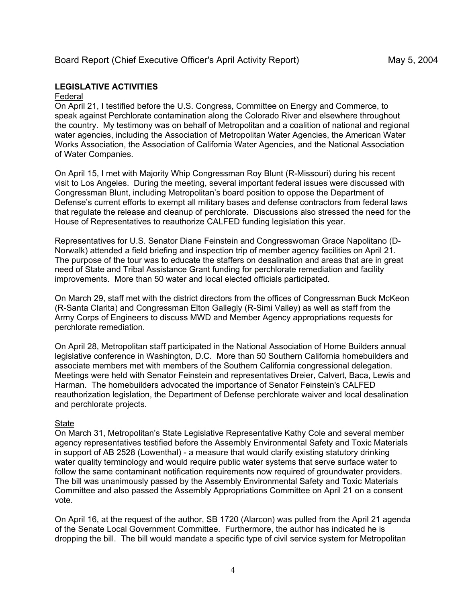# Board Report (Chief Executive Officer's April Activity Report) May 5, 2004

# **LEGISLATIVE ACTIVITIES**

# Federal

On April 21, I testified before the U.S. Congress, Committee on Energy and Commerce, to speak against Perchlorate contamination along the Colorado River and elsewhere throughout the country. My testimony was on behalf of Metropolitan and a coalition of national and regional water agencies, including the Association of Metropolitan Water Agencies, the American Water Works Association, the Association of California Water Agencies, and the National Association of Water Companies.

On April 15, I met with Majority Whip Congressman Roy Blunt (R-Missouri) during his recent visit to Los Angeles. During the meeting, several important federal issues were discussed with Congressman Blunt, including Metropolitan's board position to oppose the Department of Defense's current efforts to exempt all military bases and defense contractors from federal laws that regulate the release and cleanup of perchlorate. Discussions also stressed the need for the House of Representatives to reauthorize CALFED funding legislation this year.

Representatives for U.S. Senator Diane Feinstein and Congresswoman Grace Napolitano (D-Norwalk) attended a field briefing and inspection trip of member agency facilities on April 21. The purpose of the tour was to educate the staffers on desalination and areas that are in great need of State and Tribal Assistance Grant funding for perchlorate remediation and facility improvements. More than 50 water and local elected officials participated.

On March 29, staff met with the district directors from the offices of Congressman Buck McKeon (R-Santa Clarita) and Congressman Elton Gallegly (R-Simi Valley) as well as staff from the Army Corps of Engineers to discuss MWD and Member Agency appropriations requests for perchlorate remediation.

On April 28, Metropolitan staff participated in the National Association of Home Builders annual legislative conference in Washington, D.C. More than 50 Southern California homebuilders and associate members met with members of the Southern California congressional delegation. Meetings were held with Senator Feinstein and representatives Dreier, Calvert, Baca, Lewis and Harman. The homebuilders advocated the importance of Senator Feinstein's CALFED reauthorization legislation, the Department of Defense perchlorate waiver and local desalination and perchlorate projects.

# **State**

On March 31, Metropolitan's State Legislative Representative Kathy Cole and several member agency representatives testified before the Assembly Environmental Safety and Toxic Materials in support of AB 2528 (Lowenthal) - a measure that would clarify existing statutory drinking water quality terminology and would require public water systems that serve surface water to follow the same contaminant notification requirements now required of groundwater providers. The bill was unanimously passed by the Assembly Environmental Safety and Toxic Materials Committee and also passed the Assembly Appropriations Committee on April 21 on a consent vote.

On April 16, at the request of the author, SB 1720 (Alarcon) was pulled from the April 21 agenda of the Senate Local Government Committee. Furthermore, the author has indicated he is dropping the bill. The bill would mandate a specific type of civil service system for Metropolitan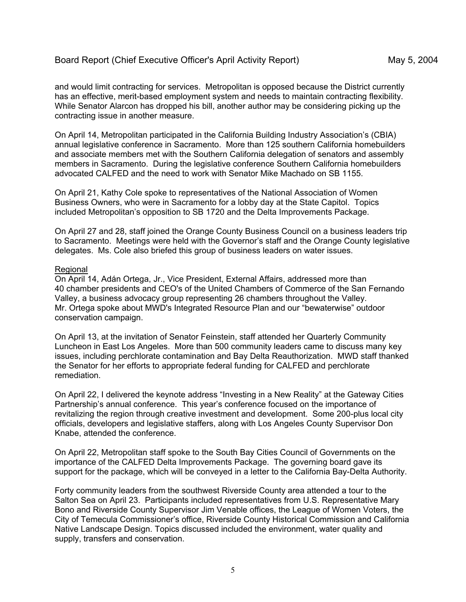and would limit contracting for services. Metropolitan is opposed because the District currently has an effective, merit-based employment system and needs to maintain contracting flexibility. While Senator Alarcon has dropped his bill, another author may be considering picking up the contracting issue in another measure.

On April 14, Metropolitan participated in the California Building Industry Association's (CBIA) annual legislative conference in Sacramento. More than 125 southern California homebuilders and associate members met with the Southern California delegation of senators and assembly members in Sacramento. During the legislative conference Southern California homebuilders advocated CALFED and the need to work with Senator Mike Machado on SB 1155.

On April 21, Kathy Cole spoke to representatives of the National Association of Women Business Owners, who were in Sacramento for a lobby day at the State Capitol. Topics included Metropolitan's opposition to SB 1720 and the Delta Improvements Package.

On April 27 and 28, staff joined the Orange County Business Council on a business leaders trip to Sacramento. Meetings were held with the Governor's staff and the Orange County legislative delegates. Ms. Cole also briefed this group of business leaders on water issues.

#### Regional

On April 14, Adán Ortega, Jr., Vice President, External Affairs, addressed more than 40 chamber presidents and CEO's of the United Chambers of Commerce of the San Fernando Valley, a business advocacy group representing 26 chambers throughout the Valley. Mr. Ortega spoke about MWD's Integrated Resource Plan and our "bewaterwise" outdoor conservation campaign.

On April 13, at the invitation of Senator Feinstein, staff attended her Quarterly Community Luncheon in East Los Angeles. More than 500 community leaders came to discuss many key issues, including perchlorate contamination and Bay Delta Reauthorization. MWD staff thanked the Senator for her efforts to appropriate federal funding for CALFED and perchlorate remediation.

On April 22, I delivered the keynote address "Investing in a New Reality" at the Gateway Cities Partnership's annual conference. This year's conference focused on the importance of revitalizing the region through creative investment and development. Some 200-plus local city officials, developers and legislative staffers, along with Los Angeles County Supervisor Don Knabe, attended the conference.

On April 22, Metropolitan staff spoke to the South Bay Cities Council of Governments on the importance of the CALFED Delta Improvements Package. The governing board gave its support for the package, which will be conveyed in a letter to the California Bay-Delta Authority.

Forty community leaders from the southwest Riverside County area attended a tour to the Salton Sea on April 23. Participants included representatives from U.S. Representative Mary Bono and Riverside County Supervisor Jim Venable offices, the League of Women Voters, the City of Temecula Commissioner's office, Riverside County Historical Commission and California Native Landscape Design. Topics discussed included the environment, water quality and supply, transfers and conservation.